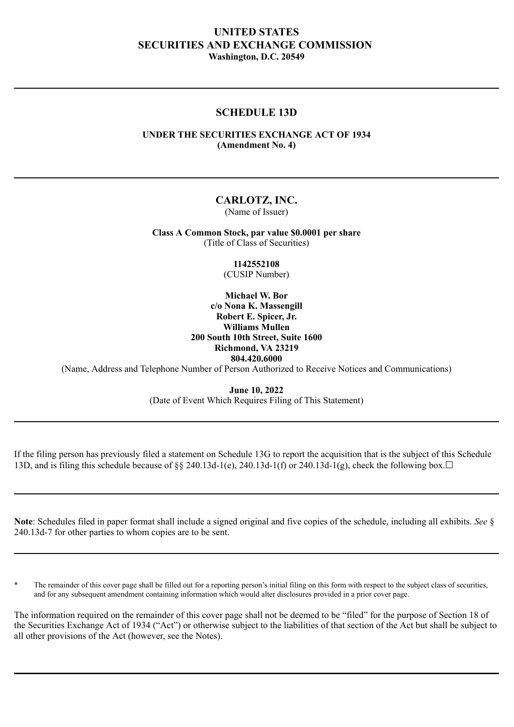# **UNITED STATES SECURITIES AND EXCHANGE COMMISSION Washington, D.C. 20549**

## **SCHEDULE 13D**

## **UNDER THE SECURITIES EXCHANGE ACT OF 1934 (Amendment No. 4)**

## **CARLOTZ, INC.**

(Name of Issuer)

**Class A Common Stock, par value \$0.0001 per share** (Title of Class of Securities)

> **1142552108** (CUSIP Number)

**Michael W. Bor c/o Nona K. Massengill Robert E. Spicer, Jr. Williams Mullen 200 South 10th Street, Suite 1600 Richmond, VA 23219 804.420.6000**

(Name, Address and Telephone Number of Person Authorized to Receive Notices and Communications)

**June 10, 2022** (Date of Event Which Requires Filing of This Statement)

If the filing person has previously filed a statement on Schedule 13G to report the acquisition that is the subject of this Schedule 13D, and is filing this schedule because of  $\frac{8}{8}$  240.13d-1(e), 240.13d-1(f) or 240.13d-1(g), check the following box.  $\Box$ 

**Note**: Schedules filed in paper format shall include a signed original and five copies of the schedule, including all exhibits. *See* § 240.13d-7 for other parties to whom copies are to be sent.

The remainder of this cover page shall be filled out for a reporting person's initial filing on this form with respect to the subject class of securities, and for any subsequent amendment containing information which would alter disclosures provided in a prior cover page.

The information required on the remainder of this cover page shall not be deemed to be "filed" for the purpose of Section 18 of the Securities Exchange Act of 1934 ("Act") or otherwise subject to the liabilities of that section of the Act but shall be subject to all other provisions of the Act (however, see the Notes).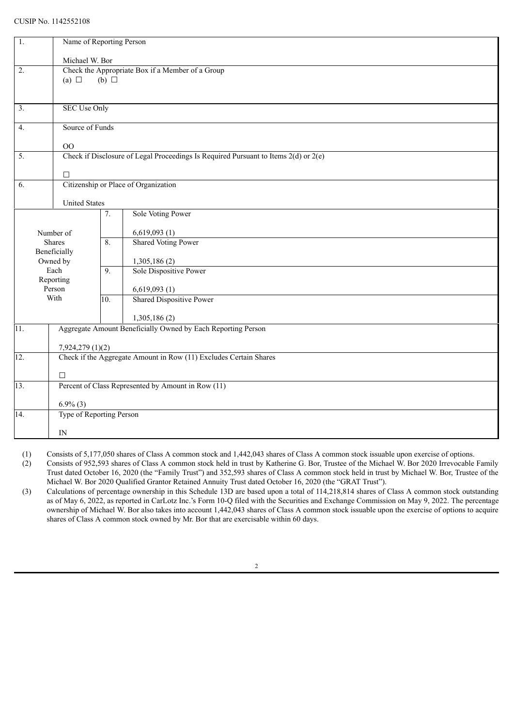#### CUSIP No. 1142552108

| 1.                | Name of Reporting Person                                                                |            |                                                                   |  |  |  |
|-------------------|-----------------------------------------------------------------------------------------|------------|-------------------------------------------------------------------|--|--|--|
|                   |                                                                                         |            |                                                                   |  |  |  |
| 2.                | Michael W. Bor<br>Check the Appropriate Box if a Member of a Group                      |            |                                                                   |  |  |  |
|                   | (a) $\Box$                                                                              |            |                                                                   |  |  |  |
|                   |                                                                                         | (b) $\Box$ |                                                                   |  |  |  |
|                   |                                                                                         |            |                                                                   |  |  |  |
| 3.                | <b>SEC Use Only</b>                                                                     |            |                                                                   |  |  |  |
| 4.                | Source of Funds                                                                         |            |                                                                   |  |  |  |
|                   |                                                                                         |            |                                                                   |  |  |  |
|                   | O <sub>O</sub>                                                                          |            |                                                                   |  |  |  |
| $\overline{5}$ .  | Check if Disclosure of Legal Proceedings Is Required Pursuant to Items $2(d)$ or $2(e)$ |            |                                                                   |  |  |  |
|                   | $\Box$                                                                                  |            |                                                                   |  |  |  |
| 6.                |                                                                                         |            | Citizenship or Place of Organization                              |  |  |  |
|                   |                                                                                         |            |                                                                   |  |  |  |
|                   | <b>United States</b>                                                                    |            |                                                                   |  |  |  |
|                   |                                                                                         | 7.         | Sole Voting Power                                                 |  |  |  |
|                   |                                                                                         |            |                                                                   |  |  |  |
|                   | Number of<br>Shares                                                                     | 8.         | 6,619,093(1)<br><b>Shared Voting Power</b>                        |  |  |  |
|                   | Beneficially                                                                            |            |                                                                   |  |  |  |
|                   | Owned by                                                                                |            | 1,305,186(2)                                                      |  |  |  |
|                   | Each                                                                                    | 9.         | Sole Dispositive Power                                            |  |  |  |
|                   | Reporting                                                                               |            |                                                                   |  |  |  |
|                   | Person<br>With                                                                          | 10.        | 6,619,093(1)<br><b>Shared Dispositive Power</b>                   |  |  |  |
|                   |                                                                                         |            |                                                                   |  |  |  |
|                   |                                                                                         |            | 1,305,186(2)                                                      |  |  |  |
| $\overline{11}$ . |                                                                                         |            | Aggregate Amount Beneficially Owned by Each Reporting Person      |  |  |  |
|                   |                                                                                         |            |                                                                   |  |  |  |
|                   | 7,924,279 (1)(2)                                                                        |            |                                                                   |  |  |  |
| 12.               |                                                                                         |            | Check if the Aggregate Amount in Row (11) Excludes Certain Shares |  |  |  |
|                   | $\Box$                                                                                  |            |                                                                   |  |  |  |
| $\overline{13}$ . | Percent of Class Represented by Amount in Row (11)                                      |            |                                                                   |  |  |  |
|                   |                                                                                         |            |                                                                   |  |  |  |
| 14.               | $6.9\%$ (3)<br>Type of Reporting Person                                                 |            |                                                                   |  |  |  |
|                   |                                                                                         |            |                                                                   |  |  |  |
|                   | IN                                                                                      |            |                                                                   |  |  |  |

(1) Consists of 5,177,050 shares of Class A common stock and 1,442,043 shares of Class A common stock issuable upon exercise of options.

(2) Consists of 952,593 shares of Class A common stock held in trust by Katherine G. Bor, Trustee of the Michael W. Bor 2020 Irrevocable Family Trust dated October 16, 2020 (the "Family Trust") and 352,593 shares of Class A common stock held in trust by Michael W. Bor, Trustee of the Michael W. Bor 2020 Qualified Grantor Retained Annuity Trust dated October 16, 2020 (the "GRAT Trust").

(3) Calculations of percentage ownership in this Schedule 13D are based upon a total of 114,218,814 shares of Class A common stock outstanding as of May 6, 2022, as reported in CarLotz Inc.'s Form 10-Q filed with the Securities and Exchange Commission on May 9, 2022. The percentage ownership of Michael W. Bor also takes into account 1,442,043 shares of Class A common stock issuable upon the exercise of options to acquire shares of Class A common stock owned by Mr. Bor that are exercisable within 60 days.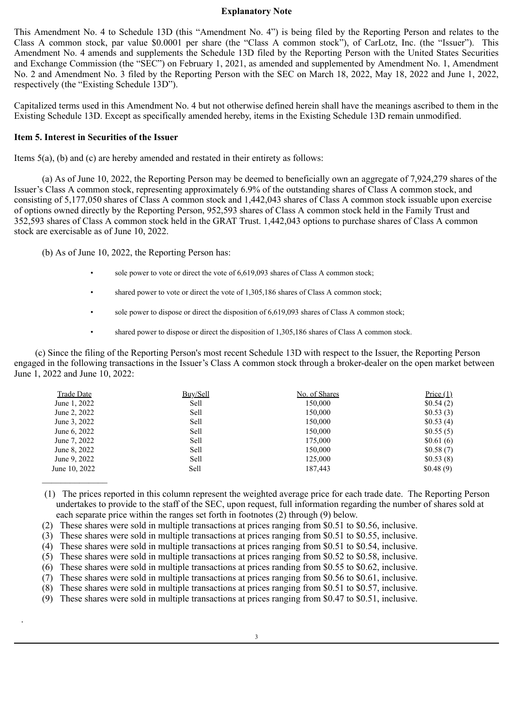#### **Explanatory Note**

This Amendment No. 4 to Schedule 13D (this "Amendment No. 4") is being filed by the Reporting Person and relates to the Class A common stock, par value \$0.0001 per share (the "Class A common stock"), of CarLotz, Inc. (the "Issuer"). This Amendment No. 4 amends and supplements the Schedule 13D filed by the Reporting Person with the United States Securities and Exchange Commission (the "SEC") on February 1, 2021, as amended and supplemented by Amendment No. 1, Amendment No. 2 and Amendment No. 3 filed by the Reporting Person with the SEC on March 18, 2022, May 18, 2022 and June 1, 2022, respectively (the "Existing Schedule 13D").

Capitalized terms used in this Amendment No. 4 but not otherwise defined herein shall have the meanings ascribed to them in the Existing Schedule 13D. Except as specifically amended hereby, items in the Existing Schedule 13D remain unmodified.

## **Item 5. Interest in Securities of the Issuer**

.

Items 5(a), (b) and (c) are hereby amended and restated in their entirety as follows:

(a) As of June 10, 2022, the Reporting Person may be deemed to beneficially own an aggregate of 7,924,279 shares of the Issuer's Class A common stock, representing approximately 6.9% of the outstanding shares of Class A common stock, and consisting of 5,177,050 shares of Class A common stock and 1,442,043 shares of Class A common stock issuable upon exercise of options owned directly by the Reporting Person, 952,593 shares of Class A common stock held in the Family Trust and 352,593 shares of Class A common stock held in the GRAT Trust. 1,442,043 options to purchase shares of Class A common stock are exercisable as of June 10, 2022.

(b) As of June 10, 2022, the Reporting Person has:

- sole power to vote or direct the vote of 6,619,093 shares of Class A common stock;
- shared power to vote or direct the vote of 1,305,186 shares of Class A common stock;
- sole power to dispose or direct the disposition of 6,619,093 shares of Class A common stock;
- shared power to dispose or direct the disposition of 1,305,186 shares of Class A common stock.

(c) Since the filing of the Reporting Person's most recent Schedule 13D with respect to the Issuer, the Reporting Person engaged in the following transactions in the Issuer's Class A common stock through a broker-dealer on the open market between June 1, 2022 and June 10, 2022:

| <b>Trade Date</b> | Buy/Sell | No. of Shares | Price $(1)$ |
|-------------------|----------|---------------|-------------|
| June 1, 2022      | Sell     | 150,000       | \$0.54(2)   |
| June 2, 2022      | Sell     | 150,000       | \$0.53(3)   |
| June 3, 2022      | Sell     | 150,000       | \$0.53(4)   |
| June 6, 2022      | Sell     | 150,000       | \$0.55(5)   |
| June 7, 2022      | Sell     | 175,000       | \$0.61(6)   |
| June 8, 2022      | Sell     | 150,000       | \$0.58(7)   |
| June 9, 2022      | Sell     | 125,000       | \$0.53(8)   |
| June 10, 2022     | Sell     | 187.443       | \$0.48(9)   |
|                   |          |               |             |

 (1) The prices reported in this column represent the weighted average price for each trade date. The Reporting Person undertakes to provide to the staff of the SEC, upon request, full information regarding the number of shares sold at each separate price within the ranges set forth in footnotes (2) through (9) below.

- (2) These shares were sold in multiple transactions at prices ranging from \$0.51 to \$0.56, inclusive.
- (3) These shares were sold in multiple transactions at prices ranging from \$0.51 to \$0.55, inclusive.
- (4) These shares were sold in multiple transactions at prices ranging from \$0.51 to \$0.54, inclusive.
- (5) These shares were sold in multiple transactions at prices ranging from \$0.52 to \$0.58, inclusive.
- (6) These shares were sold in multiple transactions at prices randing from \$0.55 to \$0.62, inclusive.
- (7) These shares were sold in multiple transactions at prices ranging from \$0.56 to \$0.61, inclusive.
- (8) These shares were sold in multiple transactions at prices ranging from \$0.51 to \$0.57, inclusive.
- (9) These shares were sold in multiple transactions at prices ranging from \$0.47 to \$0.51, inclusive.